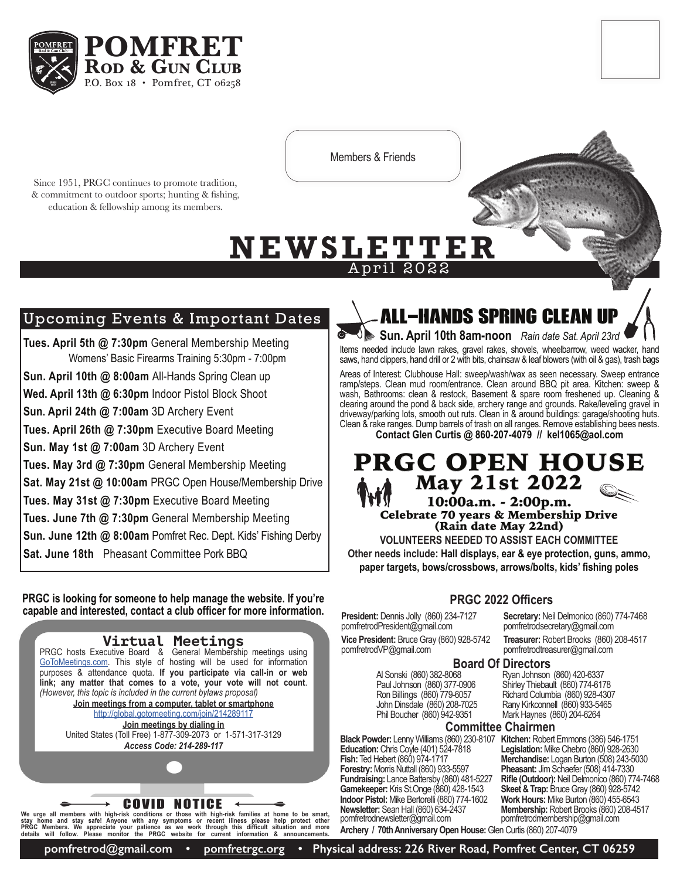

Members & Friends

April 2022

Since 1951, PRGC continues to promote tradition, & commitment to outdoor sports; hunting & fishing, education & fellowship among its members.



# Upcoming Events & Important Dates

**Tues. April 5th @ 7:30pm** General Membership Meeting Womens' Basic Firearms Training 5:30pm - 7:00pm **Sun. April 10th @ 8:00am** All-Hands Spring Clean up **Wed. April 13th @ 6:30pm** Indoor Pistol Block Shoot **Sun. April 24th @ 7:00am** 3D Archery Event **Tues. April 26th @ 7:30pm** Executive Board Meeting **Sun. May 1st @ 7:00am** 3D Archery Event **Tues. May 3rd @ 7:30pm** General Membership Meeting **Sat. May 21st @ 10:00am** PRGC Open House/Membership Drive **Tues. May 31st @ 7:30pm** Executive Board Meeting **Tues. June 7th @ 7:30pm** General Membership Meeting **Sun. June 12th @ 8:00am** Pomfret Rec. Dept. Kids' Fishing Derby **Sat. June 18th** Pheasant Committee Pork BBQ

**PRGC is looking for someone to help manage the website. If you're capable and interested, contact a club officer for more information.**

**Virtual Meetings** PRGC hosts Executive Board & General Membership meetings using [GoToMeetings.com](http://GoToMeetings.com). This style of hosting will be used for information purposes & attendance quota. **If you participate via call-in or web link; any matter that comes to a vote, your vote will not count**. *(However, this topic is included in the current bylaws proposal)* **Join meetings from a computer, tablet or smartphone** [http://global.gotomeeting.com/join/214289117](http://global.gotomeeting.com/join/214289117 )

**Join meetings by dialing in** United States (Toll Free) 1-877-309-2073 or 1-571-317-3129 *Access Code: 214-289-117*

COVID NOTICE

We urge all members with high-risk conditions or those with high-risk families at home to be smart,<br>stay home and stay safel Anyone with any symptoms or recent illness please help protect other<br>PRGC Members. We appreciate

# All-Hands Spring Clean up

**Sun. April 10th 8am-noon** *Rain date Sat. April 23rd* Items needed include lawn rakes, gravel rakes, shovels, wheelbarrow, weed wacker, hand saws, hand clippers, hand drill or 2 with bits, chainsaw & leaf blowers (with oil & gas), trash bags

Areas of Interest: Clubhouse Hall: sweep/wash/wax as seen necessary. Sweep entrance ramp/steps. Clean mud room/entrance. Clean around BBQ pit area. Kitchen: sweep & wash, Bathrooms: clean & restock, Basement & spare room freshened up. Cleaning & clearing around the pond & back side, archery range and grounds. Rake/leveling gravel in driveway/parking lots, smooth out ruts. Clean in & around buildings: garage/shooting huts. Clean & rake ranges. Dump barrels of trash on all ranges. Remove establishing bees nests. **Contact Glen Curtis @ 860-207-4079 // kel1065@aol.com**

## PRGC OPEN HOUSE May 21st 2022 10:00a.m. - 2:00p.m. Celebrate 70 years & Membership Drive (Rain date May 22nd)

**VOLUNTEERS NEEDED TO ASSIST EACH COMMITTEE Other needs include: Hall displays, ear & eye protection, guns, ammo, paper targets, bows/crossbows, arrows/bolts, kids' fishing poles** 

## **PRGC 2022 Officers**

**President:** Dennis Jolly (860) 234-7127 pomfretrodPresident@gmail.com

**Vice President:** Bruce Gray (860) 928-5742 pomfretrodVP@gmail.com

**Board Of Directors**

Al Sonski (860) 382-8068 Paul Johnson (860) 377-0906 Ron Billings (860) 779-6057 John Dinsdale (860) 208-7025 Phil Boucher (860) 942-9351

**Black Powder:** Lenny Williams (860) 230-8107 **Kitchen:** Robert Emmons (386) 546-1751 **Education:** Chris Coyle (401) 524-7818 **Fish:** Ted Hebert (860) 974-1717 **Forestry:** Morris Nuttall (860) 933-5597 **Fundraising:** Lance Battersby (860) 481-5227 **Gamekeeper:** Kris St.Onge (860) 428-1543 **Indoor Pistol:** Mike Bertorelli (860) 774-1602 **Newsletter:** Sean Hall (860) 634-2437 pomfretrodnewsletter@gmail.com **Archery / 70th Anniversary Open House:** Glen Curtis (860) 207-4079

**Secretary:** Neil Delmonico (860) 774-7468 pomfretrodsecretary@gmail.com

**Treasurer:** Robert Brooks (860) 208-4517 pomfretrodtreasurer@gmail.com

Ryan Johnson (860) 420-6337 Shirley Thiebault (860) 774-6178 Richard Columbia (860) 928-4307 Rany Kirkconnell (860) 933-5465 Mark Haynes (860) 204-6264

## **Committee Chairmen**

**Legislation:** Mike Chebro (860) 928-2630 **Merchandise:** Logan Burton (508) 243-5030 **Pheasant:** Jim Schaefer (508) 414-7330 **Rifle (Outdoor):** Neil Delmonico (860) 774-7468 **Skeet & Trap:** Bruce Gray (860) 928-5742 **Work Hours:** Mike Burton (860) 455-6543 **Membership:** Robert Brooks (860) 208-4517 pomfretrodmembership@gmail.com

**pomfretrod@gmail.com • [pomfretrgc.org](http://pomfretrgc.org) • Physical address: 226 River Road, Pomfret Center, CT 06259**